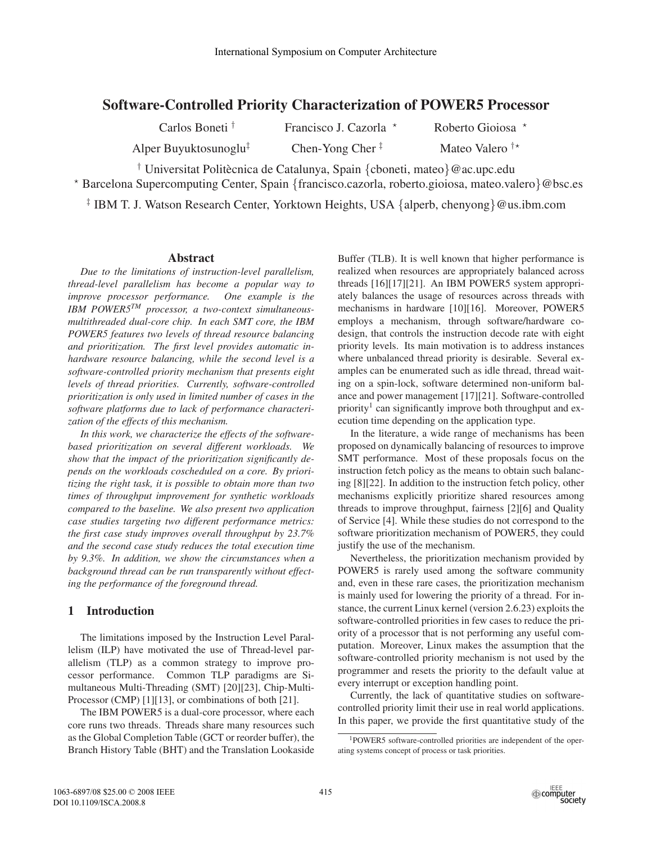# **Software-Controlled Priority Characterization of POWER5 Processor**

Carlos Boneti † Francisco J. Cazorla \* Roberto Gioiosa \*

Alper Buyuktosunoglu<sup>‡</sup> Chen-Yong Cher  $\frac{1}{x}$  Mateo Valero  $\frac{1}{x}$ 

<sup>†</sup> Universitat Politècnica de Catalunya, Spain {cboneti, mateo}@ac.upc.edu <sup>⋆</sup> Barcelona Supercomputing Center, Spain {francisco.cazorla, roberto.gioiosa, mateo.valero}@bsc.es

‡ IBM T. J. Watson Research Center, Yorktown Heights, USA {alperb, chenyong}@us.ibm.com

# **Abstract**

*Due to the limitations of instruction-level parallelism, thread-level parallelism has become a popular way to improve processor performance. One example is the IBM POWER5TM processor, a two-context simultaneousmultithreaded dual-core chip. In each SMT core, the IBM POWER5 features two levels of thread resource balancing and prioritization. The first level provides automatic inhardware resource balancing, while the second level is a software-controlled priority mechanism that presents eight levels of thread priorities. Currently, software-controlled prioritization is only used in limited number of cases in the software platforms due to lack of performance characterization of the effects of this mechanism.*

*In this work, we characterize the effects of the softwarebased prioritization on several different workloads. We show that the impact of the prioritization significantly depends on the workloads coscheduled on a core. By prioritizing the right task, it is possible to obtain more than two times of throughput improvement for synthetic workloads compared to the baseline. We also present two application case studies targeting two different performance metrics: the first case study improves overall throughput by 23.7% and the second case study reduces the total execution time by 9.3%. In addition, we show the circumstances when a background thread can be run transparently without effecting the performance of the foreground thread.*

# **1 Introduction**

The limitations imposed by the Instruction Level Parallelism (ILP) have motivated the use of Thread-level parallelism (TLP) as a common strategy to improve processor performance. Common TLP paradigms are Simultaneous Multi-Threading (SMT) [20][23], Chip-Multi-Processor (CMP) [1][13], or combinations of both [21].

The IBM POWER5 is a dual-core processor, where each core runs two threads. Threads share many resources such as the Global Completion Table (GCT or reorder buffer), the Branch History Table (BHT) and the Translation Lookaside

Buffer (TLB). It is well known that higher performance is realized when resources are appropriately balanced across threads [16][17][21]. An IBM POWER5 system appropriately balances the usage of resources across threads with mechanisms in hardware [10][16]. Moreover, POWER5 employs a mechanism, through software/hardware codesign, that controls the instruction decode rate with eight priority levels. Its main motivation is to address instances where unbalanced thread priority is desirable. Several examples can be enumerated such as idle thread, thread waiting on a spin-lock, software determined non-uniform balance and power management [17][21]. Software-controlled priority<sup>1</sup> can significantly improve both throughput and execution time depending on the application type.

In the literature, a wide range of mechanisms has been proposed on dynamically balancing of resources to improve SMT performance. Most of these proposals focus on the instruction fetch policy as the means to obtain such balancing [8][22]. In addition to the instruction fetch policy, other mechanisms explicitly prioritize shared resources among threads to improve throughput, fairness [2][6] and Quality of Service [4]. While these studies do not correspond to the software prioritization mechanism of POWER5, they could justify the use of the mechanism.

Nevertheless, the prioritization mechanism provided by POWER5 is rarely used among the software community and, even in these rare cases, the prioritization mechanism is mainly used for lowering the priority of a thread. For instance, the current Linux kernel (version 2.6.23) exploits the software-controlled priorities in few cases to reduce the priority of a processor that is not performing any useful computation. Moreover, Linux makes the assumption that the software-controlled priority mechanism is not used by the programmer and resets the priority to the default value at every interrupt or exception handling point.

Currently, the lack of quantitative studies on softwarecontrolled priority limit their use in real world applications. In this paper, we provide the first quantitative study of the

<sup>1</sup>POWER5 software-controlled priorities are independent of the operating systems concept of process or task priorities.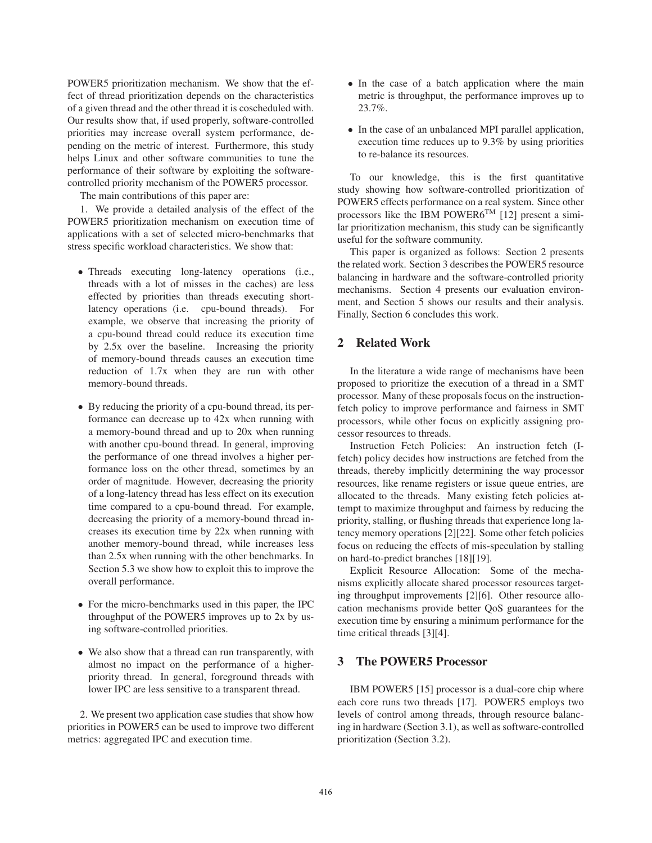POWER5 prioritization mechanism. We show that the effect of thread prioritization depends on the characteristics of a given thread and the other thread it is coscheduled with. Our results show that, if used properly, software-controlled priorities may increase overall system performance, depending on the metric of interest. Furthermore, this study helps Linux and other software communities to tune the performance of their software by exploiting the softwarecontrolled priority mechanism of the POWER5 processor.

The main contributions of this paper are:

1. We provide a detailed analysis of the effect of the POWER5 prioritization mechanism on execution time of applications with a set of selected micro-benchmarks that stress specific workload characteristics. We show that:

- Threads executing long-latency operations (i.e., threads with a lot of misses in the caches) are less effected by priorities than threads executing shortlatency operations (i.e. cpu-bound threads). For example, we observe that increasing the priority of a cpu-bound thread could reduce its execution time by 2.5x over the baseline. Increasing the priority of memory-bound threads causes an execution time reduction of 1.7x when they are run with other memory-bound threads.
- By reducing the priority of a cpu-bound thread, its performance can decrease up to 42x when running with a memory-bound thread and up to 20x when running with another cpu-bound thread. In general, improving the performance of one thread involves a higher performance loss on the other thread, sometimes by an order of magnitude. However, decreasing the priority of a long-latency thread has less effect on its execution time compared to a cpu-bound thread. For example, decreasing the priority of a memory-bound thread increases its execution time by 22x when running with another memory-bound thread, while increases less than 2.5x when running with the other benchmarks. In Section 5.3 we show how to exploit this to improve the overall performance.
- For the micro-benchmarks used in this paper, the IPC throughput of the POWER5 improves up to 2x by using software-controlled priorities.
- We also show that a thread can run transparently, with almost no impact on the performance of a higherpriority thread. In general, foreground threads with lower IPC are less sensitive to a transparent thread.

2. We present two application case studies that show how priorities in POWER5 can be used to improve two different metrics: aggregated IPC and execution time.

- In the case of a batch application where the main metric is throughput, the performance improves up to 23.7%.
- In the case of an unbalanced MPI parallel application, execution time reduces up to 9.3% by using priorities to re-balance its resources.

To our knowledge, this is the first quantitative study showing how software-controlled prioritization of POWER5 effects performance on a real system. Since other processors like the IBM POWER6<sup>TM</sup> [12] present a similar prioritization mechanism, this study can be significantly useful for the software community.

This paper is organized as follows: Section 2 presents the related work. Section 3 describes the POWER5 resource balancing in hardware and the software-controlled priority mechanisms. Section 4 presents our evaluation environment, and Section 5 shows our results and their analysis. Finally, Section 6 concludes this work.

# **2 Related Work**

In the literature a wide range of mechanisms have been proposed to prioritize the execution of a thread in a SMT processor. Many of these proposals focus on the instructionfetch policy to improve performance and fairness in SMT processors, while other focus on explicitly assigning processor resources to threads.

Instruction Fetch Policies: An instruction fetch (Ifetch) policy decides how instructions are fetched from the threads, thereby implicitly determining the way processor resources, like rename registers or issue queue entries, are allocated to the threads. Many existing fetch policies attempt to maximize throughput and fairness by reducing the priority, stalling, or flushing threads that experience long latency memory operations [2][22]. Some other fetch policies focus on reducing the effects of mis-speculation by stalling on hard-to-predict branches [18][19].

Explicit Resource Allocation: Some of the mechanisms explicitly allocate shared processor resources targeting throughput improvements [2][6]. Other resource allocation mechanisms provide better QoS guarantees for the execution time by ensuring a minimum performance for the time critical threads [3][4].

# **3 The POWER5 Processor**

IBM POWER5 [15] processor is a dual-core chip where each core runs two threads [17]. POWER5 employs two levels of control among threads, through resource balancing in hardware (Section 3.1), as well as software-controlled prioritization (Section 3.2).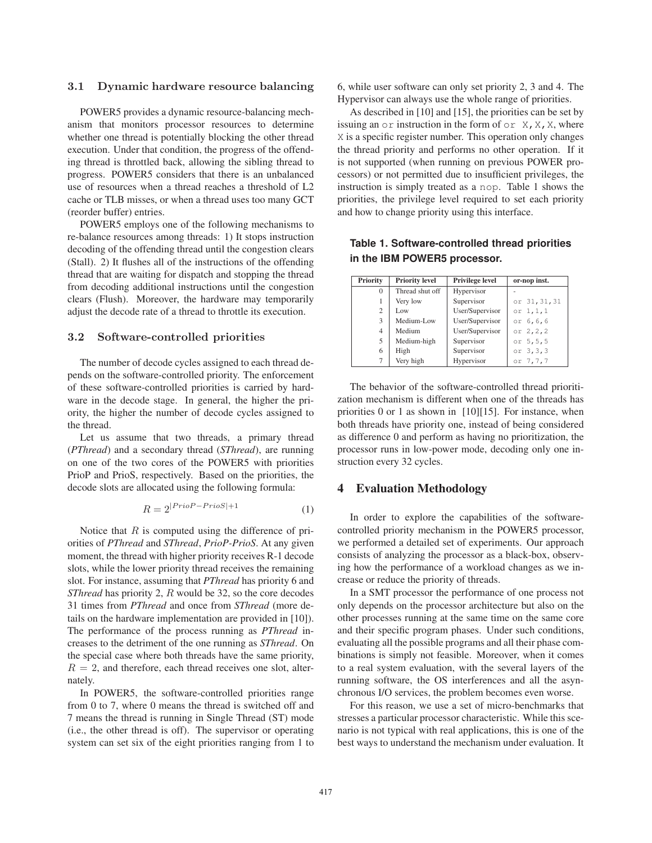## 3.1 Dynamic hardware resource balancing

POWER5 provides a dynamic resource-balancing mechanism that monitors processor resources to determine whether one thread is potentially blocking the other thread execution. Under that condition, the progress of the offending thread is throttled back, allowing the sibling thread to progress. POWER5 considers that there is an unbalanced use of resources when a thread reaches a threshold of L2 cache or TLB misses, or when a thread uses too many GCT (reorder buffer) entries.

POWER5 employs one of the following mechanisms to re-balance resources among threads: 1) It stops instruction decoding of the offending thread until the congestion clears (Stall). 2) It flushes all of the instructions of the offending thread that are waiting for dispatch and stopping the thread from decoding additional instructions until the congestion clears (Flush). Moreover, the hardware may temporarily adjust the decode rate of a thread to throttle its execution.

### 3.2 Software-controlled priorities

The number of decode cycles assigned to each thread depends on the software-controlled priority. The enforcement of these software-controlled priorities is carried by hardware in the decode stage. In general, the higher the priority, the higher the number of decode cycles assigned to the thread.

Let us assume that two threads, a primary thread (*PThread*) and a secondary thread (*SThread*), are running on one of the two cores of the POWER5 with priorities PrioP and PrioS, respectively. Based on the priorities, the decode slots are allocated using the following formula:

$$
R = 2^{|PrioP - PrioS| + 1} \tag{1}
$$

Notice that  $R$  is computed using the difference of priorities of *PThread* and *SThread*, *PrioP-PrioS*. At any given moment, the thread with higher priority receives R-1 decode slots, while the lower priority thread receives the remaining slot. For instance, assuming that *PThread* has priority 6 and *SThread* has priority 2, R would be 32, so the core decodes 31 times from *PThread* and once from *SThread* (more details on the hardware implementation are provided in [10]). The performance of the process running as *PThread* increases to the detriment of the one running as *SThread*. On the special case where both threads have the same priority,  $R = 2$ , and therefore, each thread receives one slot, alternately.

In POWER5, the software-controlled priorities range from 0 to 7, where 0 means the thread is switched off and 7 means the thread is running in Single Thread (ST) mode (i.e., the other thread is off). The supervisor or operating system can set six of the eight priorities ranging from 1 to 6, while user software can only set priority 2, 3 and 4. The Hypervisor can always use the whole range of priorities.

As described in [10] and [15], the priorities can be set by issuing an  $or$  instruction in the form of  $or X, X, X$ , where X is a specific register number. This operation only changes the thread priority and performs no other operation. If it is not supported (when running on previous POWER processors) or not permitted due to insufficient privileges, the instruction is simply treated as a nop. Table 1 shows the priorities, the privilege level required to set each priority and how to change priority using this interface.

**Table 1. Software-controlled thread priorities in the IBM POWER5 processor.**

| Priority | <b>Priority level</b> | Privilege level | or-nop inst.  |
|----------|-----------------------|-----------------|---------------|
| $\Omega$ | Thread shut off       | Hypervisor      |               |
|          | Very low              | Supervisor      | or 31, 31, 31 |
| 2        | Low                   | User/Supervisor | or $1, 1, 1$  |
| 3        | Medium-Low            | User/Supervisor | or 6,6,6      |
| 4        | Medium                | User/Supervisor | or $2, 2, 2$  |
| 5        | Medium-high           | Supervisor      | or $5, 5, 5$  |
| 6        | High                  | Supervisor      | or $3, 3, 3$  |
| 7        | Very high             | Hypervisor      | or 7,7,7      |
|          |                       |                 |               |

The behavior of the software-controlled thread prioritization mechanism is different when one of the threads has priorities 0 or 1 as shown in [10][15]. For instance, when both threads have priority one, instead of being considered as difference 0 and perform as having no prioritization, the processor runs in low-power mode, decoding only one instruction every 32 cycles.

## **4 Evaluation Methodology**

In order to explore the capabilities of the softwarecontrolled priority mechanism in the POWER5 processor, we performed a detailed set of experiments. Our approach consists of analyzing the processor as a black-box, observing how the performance of a workload changes as we increase or reduce the priority of threads.

In a SMT processor the performance of one process not only depends on the processor architecture but also on the other processes running at the same time on the same core and their specific program phases. Under such conditions, evaluating all the possible programs and all their phase combinations is simply not feasible. Moreover, when it comes to a real system evaluation, with the several layers of the running software, the OS interferences and all the asynchronous I/O services, the problem becomes even worse.

For this reason, we use a set of micro-benchmarks that stresses a particular processor characteristic. While this scenario is not typical with real applications, this is one of the best ways to understand the mechanism under evaluation. It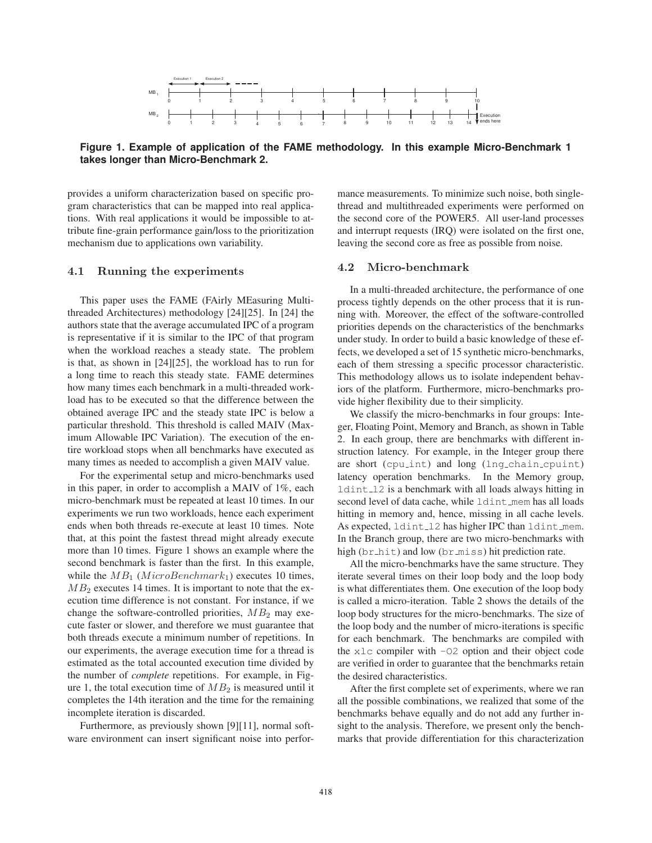

**Figure 1. Example of application of the FAME methodology. In this example Micro-Benchmark 1 takes longer than Micro-Benchmark 2.**

provides a uniform characterization based on specific program characteristics that can be mapped into real applications. With real applications it would be impossible to attribute fine-grain performance gain/loss to the prioritization mechanism due to applications own variability.

### 4.1 Running the experiments

This paper uses the FAME (FAirly MEasuring Multithreaded Architectures) methodology [24][25]. In [24] the authors state that the average accumulated IPC of a program is representative if it is similar to the IPC of that program when the workload reaches a steady state. The problem is that, as shown in [24][25], the workload has to run for a long time to reach this steady state. FAME determines how many times each benchmark in a multi-threaded workload has to be executed so that the difference between the obtained average IPC and the steady state IPC is below a particular threshold. This threshold is called MAIV (Maximum Allowable IPC Variation). The execution of the entire workload stops when all benchmarks have executed as many times as needed to accomplish a given MAIV value.

For the experimental setup and micro-benchmarks used in this paper, in order to accomplish a MAIV of 1%, each micro-benchmark must be repeated at least 10 times. In our experiments we run two workloads, hence each experiment ends when both threads re-execute at least 10 times. Note that, at this point the fastest thread might already execute more than 10 times. Figure 1 shows an example where the second benchmark is faster than the first. In this example, while the  $MB_1$  (MicroBenchmark<sub>1</sub>) executes 10 times,  $MB<sub>2</sub>$  executes 14 times. It is important to note that the execution time difference is not constant. For instance, if we change the software-controlled priorities,  $MB_2$  may execute faster or slower, and therefore we must guarantee that both threads execute a minimum number of repetitions. In our experiments, the average execution time for a thread is estimated as the total accounted execution time divided by the number of *complete* repetitions. For example, in Figure 1, the total execution time of  $MB_2$  is measured until it completes the 14th iteration and the time for the remaining incomplete iteration is discarded.

Furthermore, as previously shown [9][11], normal software environment can insert significant noise into perfor-

mance measurements. To minimize such noise, both singlethread and multithreaded experiments were performed on the second core of the POWER5. All user-land processes and interrupt requests (IRQ) were isolated on the first one, leaving the second core as free as possible from noise.

#### 4.2 Micro-benchmark

In a multi-threaded architecture, the performance of one process tightly depends on the other process that it is running with. Moreover, the effect of the software-controlled priorities depends on the characteristics of the benchmarks under study. In order to build a basic knowledge of these effects, we developed a set of 15 synthetic micro-benchmarks, each of them stressing a specific processor characteristic. This methodology allows us to isolate independent behaviors of the platform. Furthermore, micro-benchmarks provide higher flexibility due to their simplicity.

We classify the micro-benchmarks in four groups: Integer, Floating Point, Memory and Branch, as shown in Table 2. In each group, there are benchmarks with different instruction latency. For example, in the Integer group there are short (cpu int) and long (lng chain cpuint) latency operation benchmarks. In the Memory group, ldint l2 is a benchmark with all loads always hitting in second level of data cache, while ldint mem has all loads hitting in memory and, hence, missing in all cache levels. As expected, ldint 12 has higher IPC than ldint mem. In the Branch group, there are two micro-benchmarks with high (br\_hit) and low (br\_miss) hit prediction rate.

All the micro-benchmarks have the same structure. They iterate several times on their loop body and the loop body is what differentiates them. One execution of the loop body is called a micro-iteration. Table 2 shows the details of the loop body structures for the micro-benchmarks. The size of the loop body and the number of micro-iterations is specific for each benchmark. The benchmarks are compiled with the  $x \⊂>c$  compiler with  $-\theta^2$  option and their object code are verified in order to guarantee that the benchmarks retain the desired characteristics.

After the first complete set of experiments, where we ran all the possible combinations, we realized that some of the benchmarks behave equally and do not add any further insight to the analysis. Therefore, we present only the benchmarks that provide differentiation for this characterization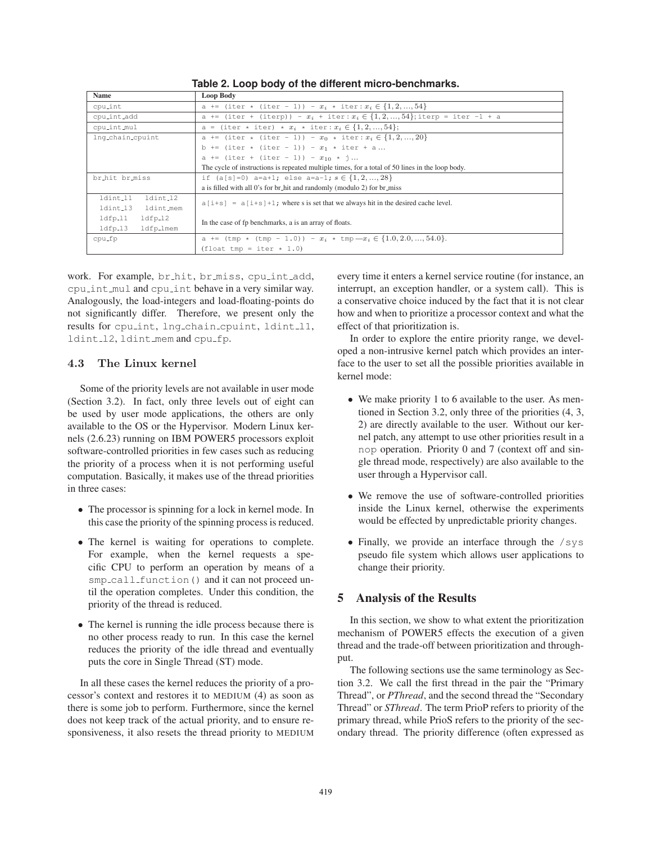| Name                   | Loop Body                                                                                             |  |  |
|------------------------|-------------------------------------------------------------------------------------------------------|--|--|
| cpu_int                | a += (iter * (iter - 1)) - $x_i$ * iter: $x_i \in \{1, 2, , 54\}$                                     |  |  |
| cpu_int_add            | a += (iter + (iterp)) - $x_i$ + iter: $x_i \in \{1, 2, , 54\}$ ; iterp = iter -1 + a                  |  |  |
| cpu_int_mul            | a = (iter * iter) * $x_i$ * iter: $x_i \in \{1, 2, , 54\}$ ;                                          |  |  |
| lng_chain_cpuint       | a += (iter * (iter - 1)) - $x_0$ * iter: $x_i \in \{1, 2, , 20\}$                                     |  |  |
|                        | b += (iter * (iter - 1)) - $x_1$ * iter + a                                                           |  |  |
|                        | a += (iter + (iter - 1)) - $x_{10}$ * j                                                               |  |  |
|                        | The cycle of instructions is repeated multiple times, for a total of 50 lines in the loop body.       |  |  |
| br_hit br_miss         | if $(a[s]=0)$ a=a+1; else a=a-1; $s \in \{1, 2, , 28\}$                                               |  |  |
|                        | a is filled with all 0's for br_hit and randomly (modulo 2) for br_miss                               |  |  |
| ldint_11<br>ldint_12   | $a[i+s] = a[i+s]+1$ ; where s is set that we always hit in the desired cache level.                   |  |  |
| ldint_13<br>ldint_mem  |                                                                                                       |  |  |
| $ldfp_11$<br>$1dfp_12$ | In the case of fp benchmarks, a is an array of floats.                                                |  |  |
| $ldfp_13$<br>ldfp_lmem |                                                                                                       |  |  |
| cpu_fp                 | a += $(\text{tmp } \star \text{ (tmp } -1.0)) - x_i \star \text{tmp} - x_i \in \{1.0, 2.0, , 54.0\}.$ |  |  |
|                        | $(float \tmp = iter * 1.0)$                                                                           |  |  |

**Table 2. Loop body of the different micro-benchmarks.**

work. For example, br hit, br miss, cpu int add, cpu int mul and cpu int behave in a very similar way. Analogously, the load-integers and load-floating-points do not significantly differ. Therefore, we present only the results for cpulint, lng chain cpuint, ldint 11, ldint l2, ldint mem and cpu fp.

# 4.3 The Linux kernel

Some of the priority levels are not available in user mode (Section 3.2). In fact, only three levels out of eight can be used by user mode applications, the others are only available to the OS or the Hypervisor. Modern Linux kernels (2.6.23) running on IBM POWER5 processors exploit software-controlled priorities in few cases such as reducing the priority of a process when it is not performing useful computation. Basically, it makes use of the thread priorities in three cases:

- The processor is spinning for a lock in kernel mode. In this case the priority of the spinning process is reduced.
- The kernel is waiting for operations to complete. For example, when the kernel requests a specific CPU to perform an operation by means of a smp\_call\_function() and it can not proceed until the operation completes. Under this condition, the priority of the thread is reduced.
- The kernel is running the idle process because there is no other process ready to run. In this case the kernel reduces the priority of the idle thread and eventually puts the core in Single Thread (ST) mode.

In all these cases the kernel reduces the priority of a processor's context and restores it to MEDIUM (4) as soon as there is some job to perform. Furthermore, since the kernel does not keep track of the actual priority, and to ensure responsiveness, it also resets the thread priority to MEDIUM

every time it enters a kernel service routine (for instance, an interrupt, an exception handler, or a system call). This is a conservative choice induced by the fact that it is not clear how and when to prioritize a processor context and what the effect of that prioritization is.

In order to explore the entire priority range, we developed a non-intrusive kernel patch which provides an interface to the user to set all the possible priorities available in kernel mode:

- We make priority 1 to 6 available to the user. As mentioned in Section 3.2, only three of the priorities (4, 3, 2) are directly available to the user. Without our kernel patch, any attempt to use other priorities result in a nop operation. Priority 0 and 7 (context off and single thread mode, respectively) are also available to the user through a Hypervisor call.
- We remove the use of software-controlled priorities inside the Linux kernel, otherwise the experiments would be effected by unpredictable priority changes.
- Finally, we provide an interface through the /sys pseudo file system which allows user applications to change their priority.

# **5 Analysis of the Results**

In this section, we show to what extent the prioritization mechanism of POWER5 effects the execution of a given thread and the trade-off between prioritization and throughput.

The following sections use the same terminology as Section 3.2. We call the first thread in the pair the "Primary Thread", or *PThread*, and the second thread the "Secondary Thread" or *SThread*. The term PrioP refers to priority of the primary thread, while PrioS refers to the priority of the secondary thread. The priority difference (often expressed as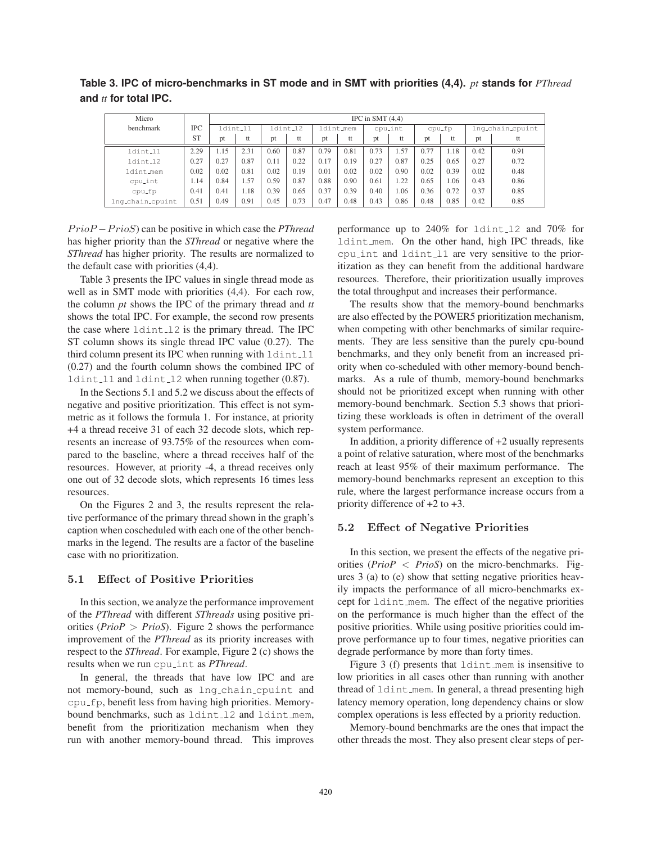**Table 3. IPC of micro-benchmarks in ST mode and in SMT with priorities (4,4).** *pt* **stands for** *PThread* **and** *tt* **for total IPC.**

| Micro            |           | IPC in SMT $(4,4)$ |          |      |         |      |           |      |         |      |        |      |                  |
|------------------|-----------|--------------------|----------|------|---------|------|-----------|------|---------|------|--------|------|------------------|
| benchmark        | IPC       |                    | ldint_11 |      | dint_12 |      | ldint_mem |      | cpulint |      | cpu_fp |      | lng_chain_cpuint |
|                  | <b>ST</b> | pt                 | tt       | pt   | tt      | pt   | tt        | pt   | tt      | pt   | tt     | pt   | tt               |
| ldint_11         | 2.29      | 1.15               | 2.31     | 0.60 | 0.87    | 0.79 | 0.81      | 0.73 | 1.57    | 0.77 | 1.18   | 0.42 | 0.91             |
| ldint_12         | 0.27      | 0.27               | 0.87     | 0.11 | 0.22    | 0.17 | 0.19      | 0.27 | 0.87    | 0.25 | 0.65   | 0.27 | 0.72             |
| ldint_mem        | 0.02      | 0.02               | 0.81     | 0.02 | 0.19    | 0.01 | 0.02      | 0.02 | 0.90    | 0.02 | 0.39   | 0.02 | 0.48             |
| cpu_int          | 1.14      | 0.84               | 1.57     | 0.59 | 0.87    | 0.88 | 0.90      | 0.61 | 1.22    | 0.65 | 1.06   | 0.43 | 0.86             |
| cpu_fp           | 0.41      | 0.41               | 1.18     | 0.39 | 0.65    | 0.37 | 0.39      | 0.40 | 1.06    | 0.36 | 0.72   | 0.37 | 0.85             |
| lng_chain_cpuint | 0.51      | 0.49               | 0.91     | 0.45 | 0.73    | 0.47 | 0.48      | 0.43 | 0.86    | 0.48 | 0.85   | 0.42 | 0.85             |

PrioP −PrioS) can be positive in which case the *PThread* has higher priority than the *SThread* or negative where the *SThread* has higher priority. The results are normalized to the default case with priorities (4,4).

Table 3 presents the IPC values in single thread mode as well as in SMT mode with priorities (4,4). For each row, the column *pt* shows the IPC of the primary thread and *tt* shows the total IPC. For example, the second row presents the case where  $ldint_12$  is the primary thread. The IPC ST column shows its single thread IPC value (0.27). The third column present its IPC when running with  $ldint11$ (0.27) and the fourth column shows the combined IPC of ldint l1 and ldint l2 when running together (0.87).

In the Sections 5.1 and 5.2 we discuss about the effects of negative and positive prioritization. This effect is not symmetric as it follows the formula 1. For instance, at priority +4 a thread receive 31 of each 32 decode slots, which represents an increase of 93.75% of the resources when compared to the baseline, where a thread receives half of the resources. However, at priority -4, a thread receives only one out of 32 decode slots, which represents 16 times less resources.

On the Figures 2 and 3, the results represent the relative performance of the primary thread shown in the graph's caption when coscheduled with each one of the other benchmarks in the legend. The results are a factor of the baseline case with no prioritization.

## 5.1 Effect of Positive Priorities

In this section, we analyze the performance improvement of the *PThread* with different *SThreads* using positive priorities (*PrioP* > *PrioS*). Figure 2 shows the performance improvement of the *PThread* as its priority increases with respect to the *SThread*. For example, Figure 2 (c) shows the results when we run cpu int as *PThread*.

In general, the threads that have low IPC and are not memory-bound, such as lng chain cpuint and cpu<sub>-fp</sub>, benefit less from having high priorities. Memorybound benchmarks, such as ldint 12 and ldint mem, benefit from the prioritization mechanism when they run with another memory-bound thread. This improves

performance up to 240% for ldint l2 and 70% for ldint mem. On the other hand, high IPC threads, like cpu int and ldint l1 are very sensitive to the prioritization as they can benefit from the additional hardware resources. Therefore, their prioritization usually improves the total throughput and increases their performance.

The results show that the memory-bound benchmarks are also effected by the POWER5 prioritization mechanism, when competing with other benchmarks of similar requirements. They are less sensitive than the purely cpu-bound benchmarks, and they only benefit from an increased priority when co-scheduled with other memory-bound benchmarks. As a rule of thumb, memory-bound benchmarks should not be prioritized except when running with other memory-bound benchmark. Section 5.3 shows that prioritizing these workloads is often in detriment of the overall system performance.

In addition, a priority difference of +2 usually represents a point of relative saturation, where most of the benchmarks reach at least 95% of their maximum performance. The memory-bound benchmarks represent an exception to this rule, where the largest performance increase occurs from a priority difference of +2 to +3.

### 5.2 Effect of Negative Priorities

In this section, we present the effects of the negative priorities (*PrioP* < *PrioS*) on the micro-benchmarks. Figures 3 (a) to (e) show that setting negative priorities heavily impacts the performance of all micro-benchmarks except for ldint mem. The effect of the negative priorities on the performance is much higher than the effect of the positive priorities. While using positive priorities could improve performance up to four times, negative priorities can degrade performance by more than forty times.

Figure 3 (f) presents that ldint mem is insensitive to low priorities in all cases other than running with another thread of ldint mem. In general, a thread presenting high latency memory operation, long dependency chains or slow complex operations is less effected by a priority reduction.

Memory-bound benchmarks are the ones that impact the other threads the most. They also present clear steps of per-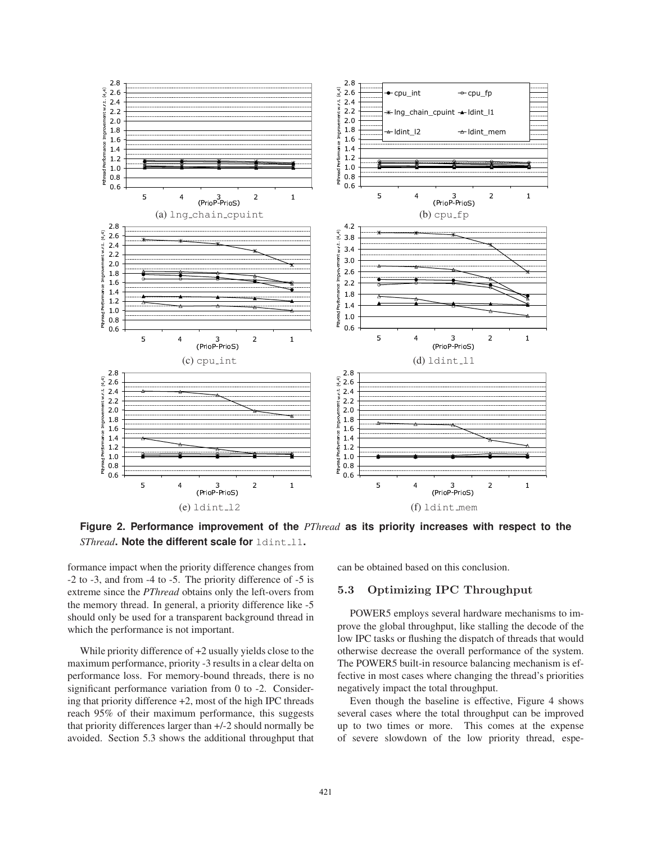

Figure 2. Performance improvement of the PThread as its priority increases with respect to the SThread. Note the different scale for ldint\_11.

formance impact when the priority difference changes from -2 to -3, and from -4 to -5. The priority difference of -5 is extreme since the PThread obtains only the left-overs from the memory thread. In general, a priority difference like -5 should only be used for a transparent background thread in which the performance is not important.

While priority difference of  $+2$  usually yields close to the maximum performance, priority -3 results in a clear delta on performance loss. For memory-bound threads, there is no significant performance variation from 0 to -2. Considering that priority difference  $+2$ , most of the high IPC threads reach 95% of their maximum performance, this suggests that priority differences larger than +/-2 should normally be avoided. Section 5.3 shows the additional throughput that

can be obtained based on this conclusion.

#### 5.3 **Optimizing IPC Throughput**

POWER5 employs several hardware mechanisms to improve the global throughput, like stalling the decode of the low IPC tasks or flushing the dispatch of threads that would otherwise decrease the overall performance of the system. The POWER5 built-in resource balancing mechanism is effective in most cases where changing the thread's priorities negatively impact the total throughput.

Even though the baseline is effective, Figure 4 shows several cases where the total throughput can be improved up to two times or more. This comes at the expense of severe slowdown of the low priority thread, espe-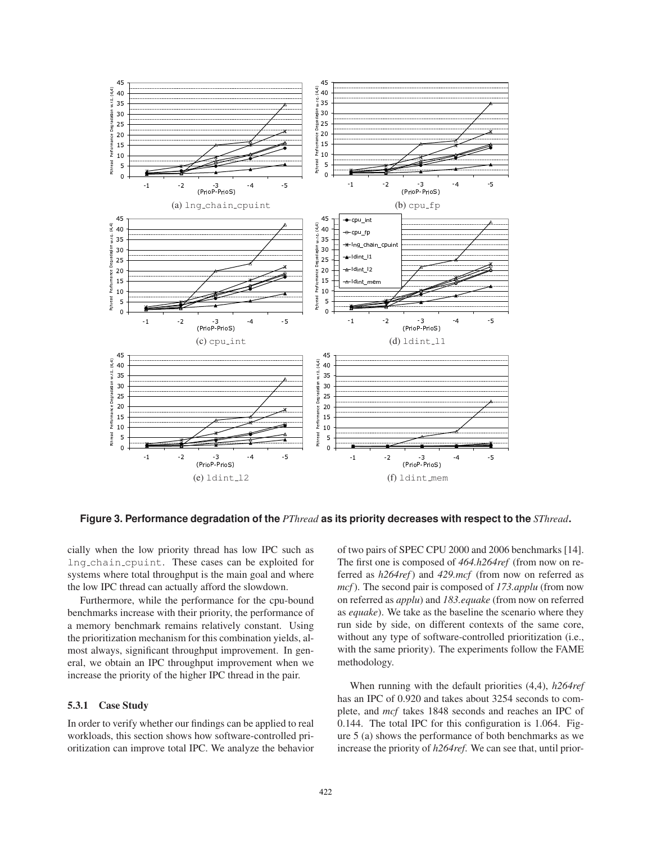

Figure 3. Performance degradation of the PThread as its priority decreases with respect to the SThread.

cially when the low priority thread has low IPC such as Ing\_chain\_cpuint. These cases can be exploited for systems where total throughput is the main goal and where the low IPC thread can actually afford the slowdown.

Furthermore, while the performance for the cpu-bound benchmarks increase with their priority, the performance of a memory benchmark remains relatively constant. Using the prioritization mechanism for this combination yields, almost always, significant throughput improvement. In general, we obtain an IPC throughput improvement when we increase the priority of the higher IPC thread in the pair.

## 5.3.1 Case Study

In order to verify whether our findings can be applied to real workloads, this section shows how software-controlled prioritization can improve total IPC. We analyze the behavior

of two pairs of SPEC CPU 2000 and 2006 benchmarks [14]. The first one is composed of 464.h264ref (from now on referred as  $h264ref$ ) and  $429.mcf$  (from now on referred as *mcf*). The second pair is composed of 173,*applu* (from now on referred as *applu*) and 183.equake (from now on referred as *equake*). We take as the baseline the scenario where they run side by side, on different contexts of the same core, without any type of software-controlled prioritization (i.e., with the same priority). The experiments follow the FAME methodology.

When running with the default priorities  $(4,4)$ ,  $h264ref$ has an IPC of 0.920 and takes about 3254 seconds to complete, and *mcf* takes 1848 seconds and reaches an IPC of 0.144. The total IPC for this configuration is 1.064. Figure  $5$  (a) shows the performance of both benchmarks as we increase the priority of h264ref. We can see that, until prior-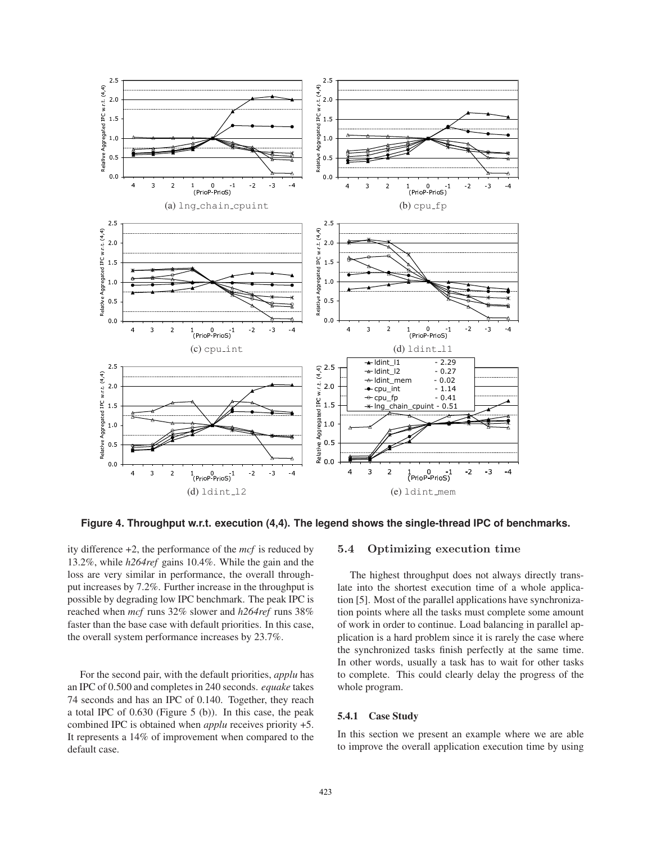

Figure 4. Throughput w.r.t. execution (4,4). The legend shows the single-thread IPC of benchmarks.

ity difference  $+2$ , the performance of the *mcf* is reduced by 13.2%, while h264ref gains 10.4%. While the gain and the loss are very similar in performance, the overall throughput increases by 7.2%. Further increase in the throughput is possible by degrading low IPC benchmark. The peak IPC is reached when mcf runs 32% slower and h264ref runs 38% faster than the base case with default priorities. In this case, the overall system performance increases by 23.7%.

For the second pair, with the default priorities, *applu* has an IPC of 0.500 and completes in 240 seconds. equake takes 74 seconds and has an IPC of 0.140. Together, they reach a total IPC of  $0.630$  (Figure 5 (b)). In this case, the peak combined IPC is obtained when *applu* receives priority  $+5$ . It represents a 14% of improvement when compared to the default case.

#### Optimizing execution time  $5.4$

The highest throughput does not always directly translate into the shortest execution time of a whole application [5]. Most of the parallel applications have synchronization points where all the tasks must complete some amount of work in order to continue. Load balancing in parallel application is a hard problem since it is rarely the case where the synchronized tasks finish perfectly at the same time. In other words, usually a task has to wait for other tasks to complete. This could clearly delay the progress of the whole program.

## 5.4.1 Case Study

In this section we present an example where we are able to improve the overall application execution time by using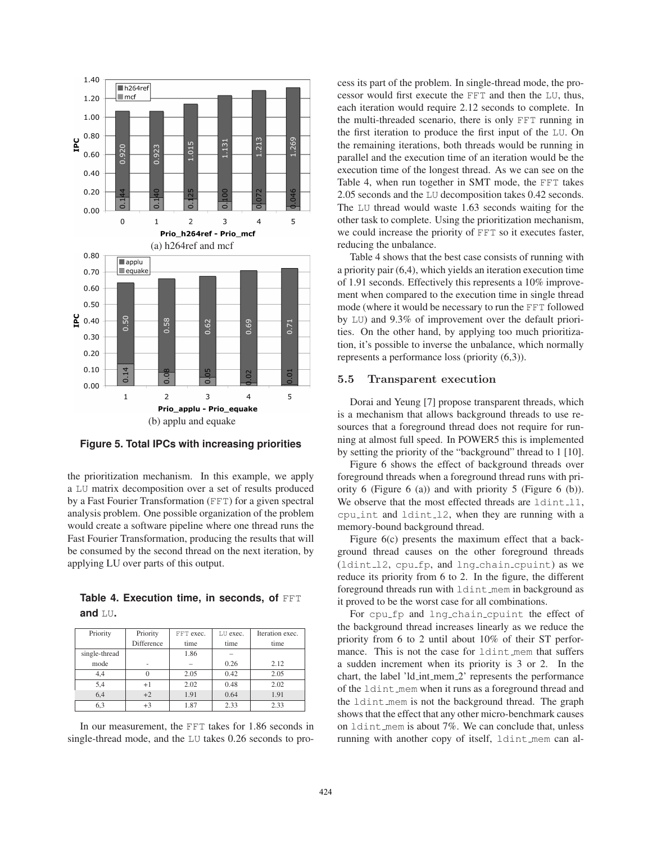

**Figure 5. Total IPCs with increasing priorities**

the prioritization mechanism. In this example, we apply a LU matrix decomposition over a set of results produced by a Fast Fourier Transformation (FFT) for a given spectral analysis problem. One possible organization of the problem would create a software pipeline where one thread runs the Fast Fourier Transformation, producing the results that will be consumed by the second thread on the next iteration, by applying LU over parts of this output.

|            | Table 4. Execution time, in seconds, of FFT |  |  |  |
|------------|---------------------------------------------|--|--|--|
| and $LU$ . |                                             |  |  |  |

| Priority      | Priority   | FFT exec. | LU exec. | Iteration exec. |
|---------------|------------|-----------|----------|-----------------|
|               | Difference | time      | time     | time            |
| single-thread |            | 1.86      |          |                 |
| mode          |            |           | 0.26     | 2.12            |
| 4,4           |            | 2.05      | 0.42     | 2.05            |
| 5,4           | $+1$       | 2.02      | 0.48     | 2.02            |
| 6,4           | $+2$       | 1.91      | 0.64     | 1.91            |
| 6,3           | $+3$       | 1.87      | 2.33     | 2.33            |

In our measurement, the FFT takes for 1.86 seconds in single-thread mode, and the LU takes 0.26 seconds to process its part of the problem. In single-thread mode, the processor would first execute the FFT and then the LU, thus, each iteration would require 2.12 seconds to complete. In the multi-threaded scenario, there is only FFT running in the first iteration to produce the first input of the LU. On the remaining iterations, both threads would be running in parallel and the execution time of an iteration would be the execution time of the longest thread. As we can see on the Table 4, when run together in SMT mode, the FFT takes 2.05 seconds and the LU decomposition takes 0.42 seconds. The LU thread would waste 1.63 seconds waiting for the other task to complete. Using the prioritization mechanism, we could increase the priority of FFT so it executes faster, reducing the unbalance.

Table 4 shows that the best case consists of running with a priority pair (6,4), which yields an iteration execution time of 1.91 seconds. Effectively this represents a 10% improvement when compared to the execution time in single thread mode (where it would be necessary to run the FFT followed by LU) and 9.3% of improvement over the default priorities. On the other hand, by applying too much prioritization, it's possible to inverse the unbalance, which normally represents a performance loss (priority (6,3)).

#### 5.5 Transparent execution

Dorai and Yeung [7] propose transparent threads, which is a mechanism that allows background threads to use resources that a foreground thread does not require for running at almost full speed. In POWER5 this is implemented by setting the priority of the "background" thread to 1 [10].

Figure 6 shows the effect of background threads over foreground threads when a foreground thread runs with priority 6 (Figure 6 (a)) and with priority 5 (Figure 6 (b)). We observe that the most effected threads are  $ldint_1,$ cpu int and ldint l2, when they are running with a memory-bound background thread.

Figure 6(c) presents the maximum effect that a background thread causes on the other foreground threads (ldint l2, cpu fp, and lng chain cpuint) as we reduce its priority from 6 to 2. In the figure, the different foreground threads run with ldint mem in background as it proved to be the worst case for all combinations.

For cpu\_fp and lng\_chain\_cpuint the effect of the background thread increases linearly as we reduce the priority from 6 to 2 until about 10% of their ST performance. This is not the case for ldint mem that suffers a sudden increment when its priority is 3 or 2. In the chart, the label 'ld int mem 2' represents the performance of the ldint mem when it runs as a foreground thread and the ldint mem is not the background thread. The graph shows that the effect that any other micro-benchmark causes on ldint mem is about 7%. We can conclude that, unless running with another copy of itself, ldint mem can al-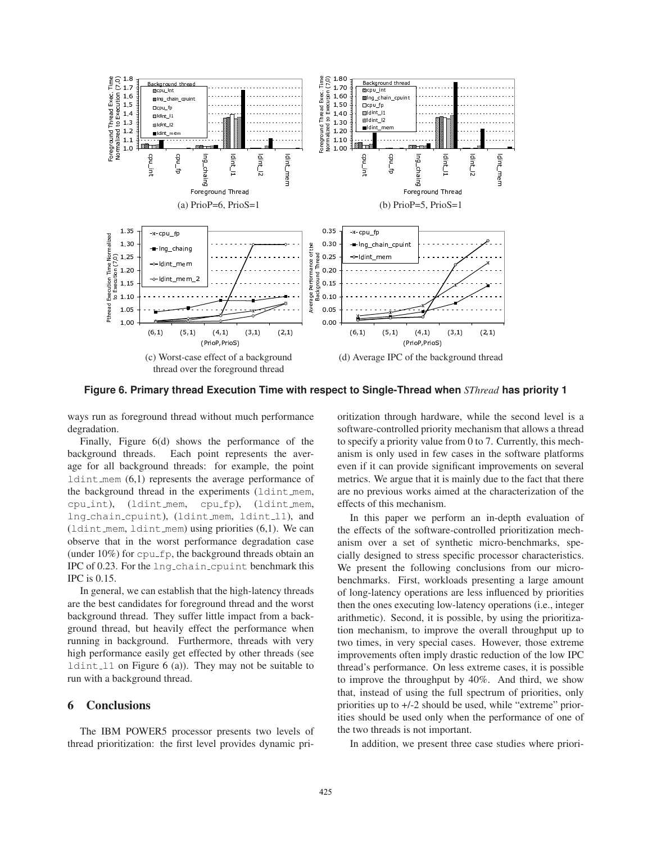

Figure 6. Primary thread Execution Time with respect to Single-Thread when SThread has priority 1

ways run as foreground thread without much performance degradation.

Finally, Figure  $6(d)$  shows the performance of the background threads. Each point represents the average for all background threads: for example, the point  $1$ dint\_mem  $(6,1)$  represents the average performance of the background thread in the experiments (ldint\_mem,  $c$ pu<sub>-</sub>int), (ldint\_mem, cpu\_fp), (ldint\_mem, Ing\_chain\_cpuint), (ldint\_mem, ldint\_11), and  $1$ dint\_mem,  $1$ dint\_mem) using priorities  $(6,1)$ . We can observe that in the worst performance degradation case (under  $10\%$ ) for  $cpu\_fp$ , the background threads obtain an IPC of 0.23. For the lng-chain-cpuint benchmark this IPC is 0.15.

In general, we can establish that the high-latency threads are the best candidates for foreground thread and the worst background thread. They suffer little impact from a background thread, but heavily effect the performance when running in background. Furthermore, threads with very high performance easily get effected by other threads (see  $ldint_1$  on Figure 6 (a)). They may not be suitable to run with a background thread.

#### 6 **Conclusions**

The IBM POWER5 processor presents two levels of thread prioritization: the first level provides dynamic pri-

oritization through hardware, while the second level is a software-controlled priority mechanism that allows a thread to specify a priority value from 0 to 7. Currently, this mechanism is only used in few cases in the software platforms even if it can provide significant improvements on several metrics. We argue that it is mainly due to the fact that there are no previous works aimed at the characterization of the effects of this mechanism.

In this paper we perform an in-depth evaluation of the effects of the software-controlled prioritization mechanism over a set of synthetic micro-benchmarks, specially designed to stress specific processor characteristics. We present the following conclusions from our microbenchmarks. First, workloads presenting a large amount of long-latency operations are less influenced by priorities then the ones executing low-latency operations (i.e., integer arithmetic). Second, it is possible, by using the prioritization mechanism, to improve the overall throughput up to two times, in very special cases. However, those extreme improvements often imply drastic reduction of the low IPC thread's performance. On less extreme cases, it is possible to improve the throughput by 40%. And third, we show that, instead of using the full spectrum of priorities, only priorities up to  $+/-2$  should be used, while "extreme" priorities should be used only when the performance of one of the two threads is not important.

In addition, we present three case studies where priori-